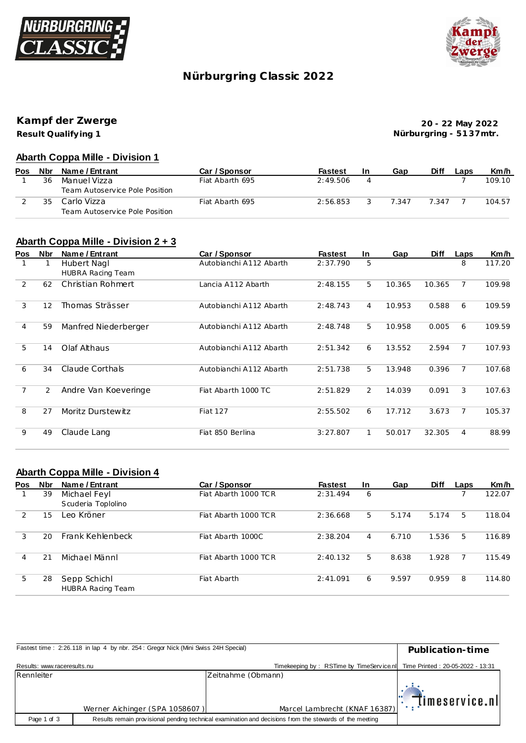



## **Nürburgring C lassic 2022**

**Kampf der Zwerge**

**Result Qualify ing 1**

**20 - 22 May 2022 Nürburgring - 51 37mtr.**

#### **Abarth Coppa Mille - Division 1**

| <b>Pos</b> | Nbr | Name / Entrant                 | Car / Sponsor   | <b>Fastest</b> | -In | Gap   | Diff  | Laps | Km/h   |
|------------|-----|--------------------------------|-----------------|----------------|-----|-------|-------|------|--------|
|            | 36  | Manuel Vizza                   | Fiat Abarth 695 | 2:49.506       |     |       |       |      | 109.10 |
|            |     | Team Autoservice Pole Position |                 |                |     |       |       |      |        |
|            | 35  | Carlo Vizza                    | Fiat Abarth 695 | 2:56.853       |     | 7.347 | 7.347 |      | 104.57 |
|            |     | Team Autoservice Pole Position |                 |                |     |       |       |      |        |

#### **Abarth Coppa Mille - Division 2 + 3**

| <b>Pos</b>     | <b>Nbr</b> | Name / Entrant           | Car / Sponsor           | <b>Fastest</b> | In             | Gap    | <b>Diff</b> | Laps           | Km/h   |
|----------------|------------|--------------------------|-------------------------|----------------|----------------|--------|-------------|----------------|--------|
|                |            | Hubert Nagl              | Autobianchi A112 Abarth | 2:37.790       | 5              |        |             | 8              | 117.20 |
|                |            | <b>HUBRA Racing Team</b> |                         |                |                |        |             |                |        |
| 2              | 62         | Christian Rohmert        | Lancia A112 Abarth      | 2:48.155       | 5              | 10.365 | 10.365      | $\overline{7}$ | 109.98 |
| 3              | 12         | Thomas Strässer          | Autobianchi A112 Abarth | 2:48.743       | 4              | 10.953 | 0.588       | 6              | 109.59 |
| $\overline{4}$ | 59         | Manfred Niederberger     | Autobianchi A112 Abarth | 2:48.748       | 5.             | 10.958 | 0.005       | 6              | 109.59 |
| 5              | 14         | Olaf Althaus             | Autobianchi A112 Abarth | 2:51.342       | 6              | 13.552 | 2.594       | $\overline{7}$ | 107.93 |
| 6              | 34         | Claude Corthals          | Autobianchi A112 Abarth | 2:51.738       | 5.             | 13.948 | 0.396       | $\overline{7}$ | 107.68 |
| 7              | 2          | Andre Van Koeveringe     | Fiat Abarth 1000 TC     | 2:51.829       | $\overline{2}$ | 14.039 | 0.091       | 3              | 107.63 |
| 8              | 27         | Moritz Durstewitz        | <b>Fiat 127</b>         | 2:55.502       | 6              | 17.712 | 3.673       | 7              | 105.37 |
| 9              | 49         | Claude Lang              | Fiat 850 Berlina        | 3:27.807       |                | 50.017 | 32.305      | $\overline{4}$ | 88.99  |

### **Abarth Coppa Mille - Division 4**

| Pos | <b>Nbr</b> | Name / Entrant                           | Car / Sponsor        | <b>Fastest</b> | In. | Gap   | <b>Diff</b> | Laps | Km/h   |
|-----|------------|------------------------------------------|----------------------|----------------|-----|-------|-------------|------|--------|
|     | 39         | Michael Feyl<br>Scuderia Toplolino       | Fiat Abarth 1000 TCR | 2:31.494       | 6   |       |             |      | 122.07 |
| 2   | 15         | Leo Kröner                               | Fiat Abarth 1000 TCR | 2:36.668       | 5   | 5.174 | 5.174       | 5    | 118.04 |
| 3   | 20         | Frank Kehlenbeck                         | Fiat Abarth 1000C    | 2:38.204       | 4   | 6.710 | 1.536       | 5    | 116.89 |
| 4   | 21         | Michael Männl                            | Fiat Abarth 1000 TCR | 2:40.132       | 5   | 8.638 | 1.928       |      | 115.49 |
| 5   | 28         | Sepp Schichl<br><b>HUBRA Racing Team</b> | Fiat Abarth          | 2:41.091       | 6   | 9.597 | 0.959       | 8    | 114.80 |

|                             | Fastest time: 2:26.118 in lap 4 by nbr. 254: Gregor Nick (Mini Swiss 24H Special) |                                                                                                         | Publication-time                       |
|-----------------------------|-----------------------------------------------------------------------------------|---------------------------------------------------------------------------------------------------------|----------------------------------------|
| Results: www.raceresults.nu |                                                                                   | Timekeeping by: RSTime by TimeServicenl                                                                 | Time Printed: 20-05-2022 - 13:31       |
| Rennleiter                  |                                                                                   | Zeitnahme (Obmann)                                                                                      |                                        |
|                             |                                                                                   |                                                                                                         | $\mathbb{E}[\mathbb{I}]$ imeservice.nl |
|                             | Werner Aichinger (SPA 1058607)                                                    | Marcel Lambrecht (KNAF 16387)                                                                           |                                        |
| Page 1 of 3                 |                                                                                   | Results remain provisional pending technical examination and decisions from the stewards of the meeting |                                        |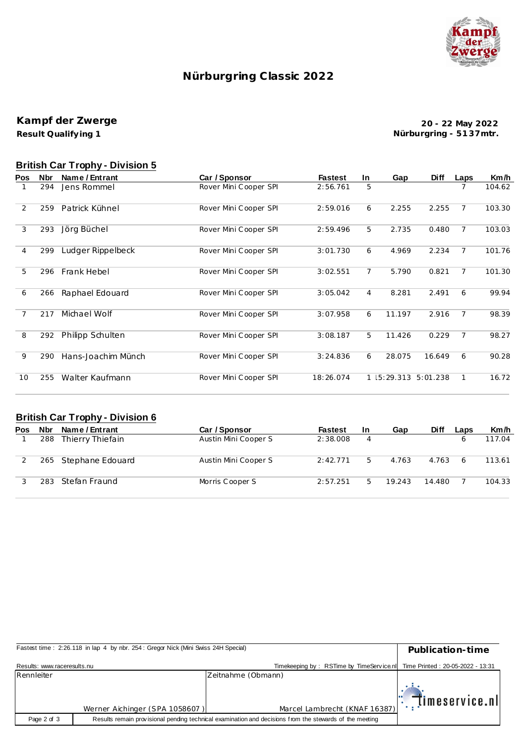

# **Nürburgring C lassic 2022**

#### **Result Qualify ing 1 Kampf der Zwerge**

**20 - 22 May 2022 Nürburgring - 51 37mtr.**

# **British Car Trophy - Division 5**

| Pos | <b>Nbr</b> | Name / Entrant     | Car / Sponsor         | <b>Fastest</b> | In.            | Gap          | <b>Diff</b> | Laps           | Km/h   |
|-----|------------|--------------------|-----------------------|----------------|----------------|--------------|-------------|----------------|--------|
|     | 294        | Jens Rommel        | Rover Mini Cooper SPI | 2:56.761       | 5              |              |             |                | 104.62 |
| 2   | 259        | Patrick Kühnel     | Rover Mini Cooper SPI | 2:59.016       | 6              | 2.255        | 2.255       | $\overline{7}$ | 103.30 |
| 3   | 293        | Jörg Büchel        | Rover Mini Cooper SPI | 2:59.496       | 5              | 2.735        | 0.480       | $\overline{7}$ | 103.03 |
| 4   | 299        | Ludger Rippelbeck  | Rover Mini Cooper SPI | 3:01.730       | 6              | 4.969        | 2.234       | $\overline{7}$ | 101.76 |
| 5   | 296        | Frank Hebel        | Rover Mini Cooper SPI | 3:02.551       | $\overline{7}$ | 5.790        | 0.821       | $\overline{7}$ | 101.30 |
| 6   | 266        | Raphael Edouard    | Rover Mini Cooper SPI | 3:05.042       | 4              | 8.281        | 2.491       | 6              | 99.94  |
| 7   | 217        | Michael Wolf       | Rover Mini Cooper SPI | 3:07.958       | 6              | 11.197       | 2.916       | $\overline{7}$ | 98.39  |
| 8   | 292        | Philipp Schulten   | Rover Mini Cooper SPI | 3:08.187       | 5              | 11.426       | 0.229       | $\overline{7}$ | 98.27  |
| 9   | 290        | Hans-Joachim Münch | Rover Mini Cooper SPI | 3:24.836       | 6              | 28.075       | 16.649      | 6              | 90.28  |
| 10  | 255        | Walter Kaufmann    | Rover Mini Cooper SPI | 18:26.074      |                | 1   5:29.313 | 5:01.238    | $\mathbf{1}$   | 16.72  |

#### **British Car Trophy - Division 6**

| Pos | Nbr  | Name / Entrant       | Car / Sponsor        | <b>Fastest</b> | <b>In</b> | Gap    | <b>Diff</b> | Laps | Km/h   |
|-----|------|----------------------|----------------------|----------------|-----------|--------|-------------|------|--------|
|     | 288  | Thierry Thiefain     | Austin Mini Cooper S | 2:38.008       | 4         |        |             | 6    | 117.04 |
|     |      | 265 Stephane Edouard | Austin Mini Cooper S | 2:42.771       | 5         | 4.763  | 4.763       | 6    | 113.61 |
|     | 283. | - Stefan Fraund      | Morris Cooper S      | 2:57.251       | 5.        | 19.243 | 14.480      |      | 104.33 |

|                             | Publication-time                                                                                                                                                                                                                                                                                                                  |
|-----------------------------|-----------------------------------------------------------------------------------------------------------------------------------------------------------------------------------------------------------------------------------------------------------------------------------------------------------------------------------|
| Results: www.raceresults.nu | Time Printed: 20-05-2022 - 13:31                                                                                                                                                                                                                                                                                                  |
|                             |                                                                                                                                                                                                                                                                                                                                   |
|                             | $\mathbb{E}[\mathbb{I}]$ imeservice.nl                                                                                                                                                                                                                                                                                            |
|                             |                                                                                                                                                                                                                                                                                                                                   |
|                             | Fastest time: 2:26.118 in lap 4 by nbr. 254: Gregor Nick (Mini Swiss 24H Special)<br>Timekeeping by: RSTime by TimeService nl<br>Zeitnahme (Obmann)<br>Marcel Lambrecht (KNAF 16387)<br>Werner Aichinger (SPA 1058607)<br>Results remain provisional pending technical examination and decisions from the stewards of the meeting |